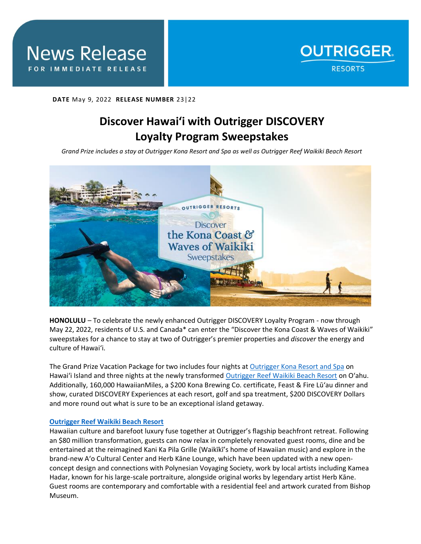

## **DATE** May 9, 2022 **RELEASE NUMBER** 23|22

# **Discover Hawai'i with Outrigger DISCOVERY Loyalty Program Sweepstakes**

*Grand Prize includes a stay at Outrigger Kona Resort and Spa as well as Outrigger Reef Waikiki Beach Resort*



**HONOLULU** – To celebrate the newly enhanced Outrigger DISCOVERY Loyalty Program - now through May 22, 2022, residents of U.S. and Canada\* can enter the "Discover the Kona Coast & Waves of Waikiki" sweepstakes for a chance to stay at two of Outrigger's premier properties and *discover* the energy and culture of Hawai'i.

The Grand Prize Vacation Package for two includes four nights a[t Outrigger Kona Resort and Spa](https://www.outrigger.com/hotels-resorts/hawaii/hawaii-island/outrigger-kona-resort-and-spa) on Hawai'i Island and three nights at the newly transformed [Outrigger Reef Waikiki Beach Resort](https://www.outrigger.com/hotels-resorts/hawaii/oahu/outrigger-reef-waikiki-beach-resort) on O'ahu. Additionally, 160,000 HawaiianMiles, a \$200 Kona Brewing Co. certificate, Feast & Fire Lūʻau dinner and show, curated DISCOVERY Experiences at each resort, golf and spa treatment, \$200 DISCOVERY Dollars and more round out what is sure to be an exceptional island getaway.

## **[Outrigger Reef Waikiki Beach Resort](https://www.outrigger.com/hotels-resorts/hawaii/oahu/outrigger-reef-waikiki-beach-resort)**

Hawaiian culture and barefoot luxury fuse together at Outrigger's flagship beachfront retreat. Following an \$80 million transformation, guests can now relax in completely renovated guest rooms, dine and be entertained at the reimagined Kani Ka Pila Grille (Waikīkī's home of Hawaiian music) and explore in the brand-new A'o Cultural Center and Herb Kāne Lounge, which have been updated with a new openconcept design and connections with Polynesian Voyaging Society, work by local artists including Kamea Hadar, known for his large-scale portraiture, alongside original works by legendary artist Herb Kāne. Guest rooms are contemporary and comfortable with a residential feel and artwork curated from Bishop Museum.